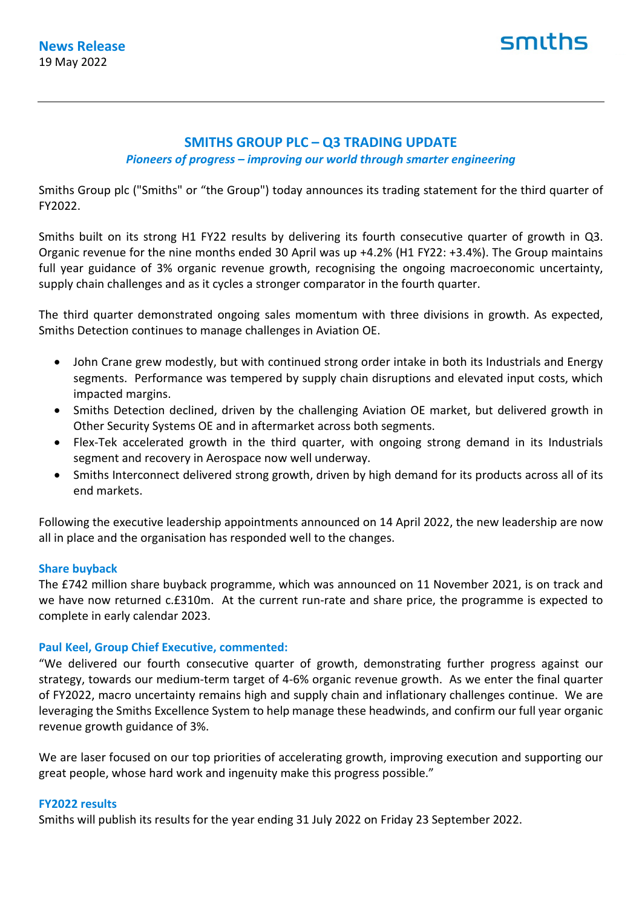# smiths

# **SMITHS GROUP PLC – Q3 TRADING UPDATE**

*Pioneers of progress – improving our world through smarter engineering*

Smiths Group plc ("Smiths" or "the Group") today announces its trading statement for the third quarter of FY2022.

Smiths built on its strong H1 FY22 results by delivering its fourth consecutive quarter of growth in Q3. Organic revenue for the nine months ended 30 April was up +4.2% (H1 FY22: +3.4%). The Group maintains full year guidance of 3% organic revenue growth, recognising the ongoing macroeconomic uncertainty, supply chain challenges and as it cycles a stronger comparator in the fourth quarter.

The third quarter demonstrated ongoing sales momentum with three divisions in growth. As expected, Smiths Detection continues to manage challenges in Aviation OE.

- John Crane grew modestly, but with continued strong order intake in both its Industrials and Energy segments. Performance was tempered by supply chain disruptions and elevated input costs, which impacted margins.
- Smiths Detection declined, driven by the challenging Aviation OE market, but delivered growth in Other Security Systems OE and in aftermarket across both segments.
- Flex-Tek accelerated growth in the third quarter, with ongoing strong demand in its Industrials segment and recovery in Aerospace now well underway.
- Smiths Interconnect delivered strong growth, driven by high demand for its products across all of its end markets.

Following the executive leadership appointments announced on 14 April 2022, the new leadership are now all in place and the organisation has responded well to the changes.

# **Share buyback**

The £742 million share buyback programme, which was announced on 11 November 2021, is on track and we have now returned c.£310m. At the current run-rate and share price, the programme is expected to complete in early calendar 2023.

# **Paul Keel, Group Chief Executive, commented:**

"We delivered our fourth consecutive quarter of growth, demonstrating further progress against our strategy, towards our medium-term target of 4-6% organic revenue growth. As we enter the final quarter of FY2022, macro uncertainty remains high and supply chain and inflationary challenges continue. We are leveraging the Smiths Excellence System to help manage these headwinds, and confirm our full year organic revenue growth guidance of 3%.

We are laser focused on our top priorities of accelerating growth, improving execution and supporting our great people, whose hard work and ingenuity make this progress possible."

#### **FY2022 results**

Smiths will publish its results for the year ending 31 July 2022 on Friday 23 September 2022.